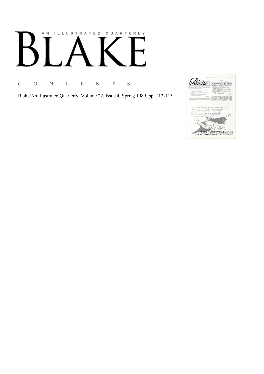# AN ILLUSTRATED QUARTERLY  $\boldsymbol{\mathsf{F}}$

C O N T E N T S

Blake/An Illustrated Quarterly, Volume 22, Issue 4, Spring 1989, pp. 113-115

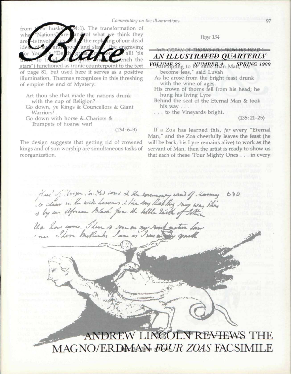#### *Commentary on the Illuminations*

1). The transformation of from what we think they ie repla [ng of our dead he engraving all! 'tis wench the counterpoint to the text of page 81, but used here it serves as a positive illumination. Tharmas recognizes in this threshing

of empire the end of Mystery:

- Art thou she that made the nations drunk with the cup of Religion?
- Go down, ye Kings & Councellors & Giant Warriors! . . .
- Go down with horse & Chariots & Trumpets of hoarse war!

 $(134:6-9)$ 

The design suggests that getting rid of crowned kings and of sun worship are simultaneous tasks of reorganization.

*Page 134* 

# "HIS CROWN OF THORNS FELL FROM HIS HEAD." *AN ILLUSTRATED QUARTERLY*<br> *VOLUME<sub>D</sub>22<sub>g</sub>* to NUMBER 4<sub>n</sub> Man<sup>SPRING</sup> 1989

become less," said Luvah As he arose from the bright feast drunk

with the wine of ages. His crown of thorns tell from his head; he hung his living Lyre

Behind the seat of the Eternal Man & took his way . . .

. . . to the Vineyards bright.

(135:21-25)

If a Zoa has learned this, *for* every "Eternal Man," and the Zoa cheerfully leaves the feast (he will be back; his Lyre remains alive) to work as the servant of Man, then the artist is ready to show us that each of these "Four Mighty Ones .. . in every

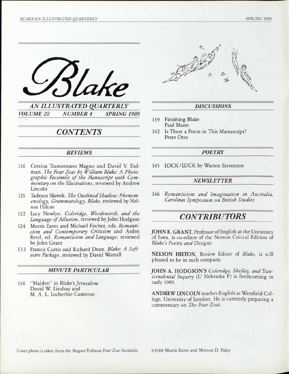

*AN ILLUSTRATED QUARTERLY VOLUME 22 NUMBER 4 SPRING 1989* 

*CONTENTS* 

#### *REVIEWS*

- 116 Cettina Tramontano Magno and David V. Erdman. The Four Zoas by William Blake: A Photo*graphic Facsimile of the Manuscript with Commentary on the Illustrations,* reviewed by Andrew Lincoln
- 121 Tadeusz SJawek. *The Outlined Shadow: Phenomenology, Grammatology, Blake,* reviewed by Nelson Hilton
- 122 Lucy Newlyn. *Coleridge, Wordsworth, and the Language of Allusion,* reviewed by John Hodgson
- 124 Morris Eaves and Michael Fischer, eds. *Romanticism and Contemporary Criticism* and Arden Reed, ed. *Romanticism and Language,* reviewed by John Grant
- 133 Francis Curtis and Richard Dean. *Blake: A Software Package,* reviewed by David Worrall

#### *MINUTE PARTICULAR*

136 "Maiden" in Blake's *Jerusalem*  David W. Lindsay and M. A. L. Locherbie-Cameron



#### *DISCUSSIONS*

- 139 Finishing Blake Paul Mann
- 142 Is There a Poem in This Manuscript? Peter Otto

#### *POETRY*

145 LOCK/LUCK by Warren Stevenson

#### *NEWSLETTER*

146 *Romanticism and Imagination in Australia, Carolinas Symposium on British Studies* 

# *CONTRIBUTORS*

JOHN E. GRANT, Professor of English at the University of Iowa, is co-editor of the Norton Critical Edition of *Blake's Poetry and Designs.* 

NELSON HILTON, Review Editor of *Blake,* is still pleased to be in such company.

JOHN A. HODGSON'S *Coleridge, Shelley, and Transcendental Inquiry* (U Nebraska P) is forthcoming in early 1989.

ANDREW LINCOLN teaches English at Westfield College, University of London. He is currently preparing a commentary on *The Four Zoas.* 

Cover photo is taken from the Magno/Erdman *FourZoas* facsimile. ©1988 Morris Eaves and Morton D. Paley